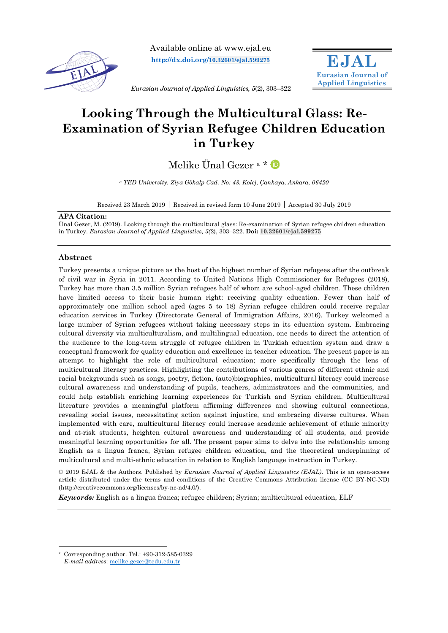

Available online at www.ejal.eu **[http://dx.doi.org/](http://dx.doi.org/10.32601/ejal.599275)10.32601/ejal.599275**



*Eurasian Journal of Applied Linguistics, 5*(2), 303–322

# **Looking Through the Multicultural Glass: Re-Examination of Syrian Refugee Children Education in Turkey**

Melike Ünal Gezer<sup>a\*</sup>

*<sup>a</sup> TED University, Ziya Gökalp Cad. No: 48, Kolej, Çankaya, Ankara, 06420*

Received 23 March 2019 Received in revised form 10 June 2019 Accepted 30 July 2019

#### **APA Citation:**

Ünal Gezer, M. (2019). Looking through the multicultural glass: Re-examination of Syrian refugee children education in Turkey. *Eurasian Journal of Applied Linguistics, 5(*2), 303–322. **Doi: 10.32601/ejal.599275**

# **Abstract**

Turkey presents a unique picture as the host of the highest number of Syrian refugees after the outbreak of civil war in Syria in 2011. According to United Nations High Commissioner for Refugees (2018), Turkey has more than 3.5 million Syrian refugees half of whom are school-aged children. These children have limited access to their basic human right: receiving quality education. Fewer than half of approximately one million school aged (ages 5 to 18) Syrian refugee children could receive regular education services in Turkey (Directorate General of Immigration Affairs, 2016). Turkey welcomed a large number of Syrian refugees without taking necessary steps in its education system. Embracing cultural diversity via multiculturalism, and multilingual education, one needs to direct the attention of the audience to the long-term struggle of refugee children in Turkish education system and draw a conceptual framework for quality education and excellence in teacher education. The present paper is an attempt to highlight the role of multicultural education; more specifically through the lens of multicultural literacy practices. Highlighting the contributions of various genres of different ethnic and racial backgrounds such as songs, poetry, fiction, (auto)biographies, multicultural literacy could increase cultural awareness and understanding of pupils, teachers, administrators and the communities, and could help establish enriching learning experiences for Turkish and Syrian children. Multicultural literature provides a meaningful platform affirming differences and showing cultural connections, revealing social issues, necessitating action against injustice, and embracing diverse cultures. When implemented with care, multicultural literacy could increase academic achievement of ethnic minority and at-risk students, heighten cultural awareness and understanding of all students, and provide meaningful learning opportunities for all. The present paper aims to delve into the relationship among English as a lingua franca, Syrian refugee children education, and the theoretical underpinning of multicultural and multi-ethnic education in relation to English language instruction in Turkey.

© 2019 EJAL & the Authors. Published by *Eurasian Journal of Applied Linguistics (EJAL)*. This is an open-access article distributed under the terms and conditions of the Creative Commons Attribution license (CC BY-NC-ND) (http://creativecommons.org/licenses/by-nc-nd/4.0/).

*Keywords:* English as a lingua franca; refugee children; Syrian; multicultural education, ELF

 $\overline{a}$ Corresponding author. Tel.: +90-312-585-0329 *E-mail address*: [melike.gezer@tedu.edu.tr](mailto:melike.gezer@tedu.edu.tr)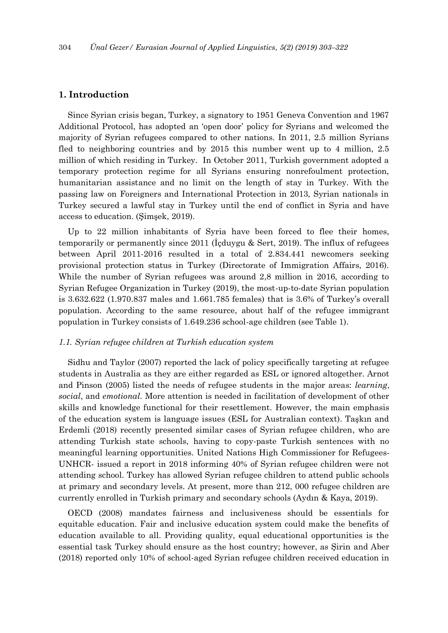# **1. Introduction**

Since Syrian crisis began, Turkey, a signatory to 1951 Geneva Convention and 1967 Additional Protocol, has adopted an 'open door' policy for Syrians and welcomed the majority of Syrian refugees compared to other nations. In 2011, 2.5 million Syrians fled to neighboring countries and by 2015 this number went up to 4 million, 2.5 million of which residing in Turkey. In October 2011, Turkish government adopted a temporary protection regime for all Syrians ensuring nonrefoulment protection, humanitarian assistance and no limit on the length of stay in Turkey. With the passing law on Foreigners and International Protection in 2013, Syrian nationals in Turkey secured a lawful stay in Turkey until the end of conflict in Syria and have access to education. (Şimşek, 2019).

Up to 22 million inhabitants of Syria have been forced to flee their homes, temporarily or permanently since 2011 (İçduygu & Sert, 2019). The influx of refugees between April 2011-2016 resulted in a total of 2.834.441 newcomers seeking provisional protection status in Turkey (Directorate of Immigration Affairs, 2016). While the number of Syrian refugees was around 2,8 million in 2016, according to Syrian Refugee Organization in Turkey (2019), the most-up-to-date Syrian population is 3.632.622 (1.970.837 males and 1.661.785 females) that is 3.6% of Turkey's overall population. According to the same resource, about half of the refugee immigrant population in Turkey consists of 1.649.236 school-age children (see Table 1).

#### *1.1. Syrian refugee children at Turkish education system*

Sidhu and Taylor (2007) reported the lack of policy specifically targeting at refugee students in Australia as they are either regarded as ESL or ignored altogether. Arnot and Pinson (2005) listed the needs of refugee students in the major areas: *learning*, *social*, and *emotional.* More attention is needed in facilitation of development of other skills and knowledge functional for their resettlement. However, the main emphasis of the education system is language issues (ESL for Australian context). Taşkın and Erdemli (2018) recently presented similar cases of Syrian refugee children, who are attending Turkish state schools, having to copy-paste Turkish sentences with no meaningful learning opportunities. United Nations High Commissioner for Refugees-UNHCR- issued a report in 2018 informing 40% of Syrian refugee children were not attending school. Turkey has allowed Syrian refugee children to attend public schools at primary and secondary levels. At present, more than 212, 000 refugee children are currently enrolled in Turkish primary and secondary schools (Aydın & Kaya, 2019).

OECD (2008) mandates fairness and inclusiveness should be essentials for equitable education. Fair and inclusive education system could make the benefits of education available to all. Providing quality, equal educational opportunities is the essential task Turkey should ensure as the host country; however, as Şirin and Aber (2018) reported only 10% of school-aged Syrian refugee children received education in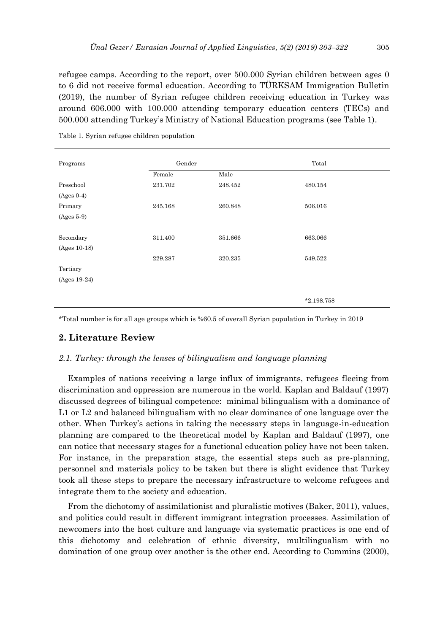refugee camps. According to the report, over 500.000 Syrian children between ages 0 to 6 did not receive formal education. According to TÜRKSAM Immigration Bulletin (2019), the number of Syrian refugee children receiving education in Turkey was around 606.000 with 100.000 attending temporary education centers (TECs) and 500.000 attending Turkey's Ministry of National Education programs (see Table 1).

| Programs       | Gender  |         | Total        |  |
|----------------|---------|---------|--------------|--|
|                | Female  | Male    |              |  |
| Preschool      | 231.702 | 248.452 | 480.154      |  |
| $(Ages 0-4)$   |         |         |              |  |
| Primary        | 245.168 | 260.848 | 506.016      |  |
| $(Ages 5-9)$   |         |         |              |  |
|                |         |         |              |  |
| Secondary      | 311.400 | 351.666 | 663.066      |  |
| (Ages 10-18)   |         |         |              |  |
|                | 229.287 | 320.235 | 549.522      |  |
| Tertiary       |         |         |              |  |
| $(Ages 19-24)$ |         |         |              |  |
|                |         |         |              |  |
|                |         |         | $*2.198.758$ |  |

Table 1. Syrian refugee children population

\*Total number is for all age groups which is %60.5 of overall Syrian population in Turkey in 2019

# **2. Literature Review**

#### *2.1. Turkey: through the lenses of bilingualism and language planning*

Examples of nations receiving a large influx of immigrants, refugees fleeing from discrimination and oppression are numerous in the world. Kaplan and Baldauf (1997) discussed degrees of bilingual competence: minimal bilingualism with a dominance of L1 or L2 and balanced bilingualism with no clear dominance of one language over the other. When Turkey's actions in taking the necessary steps in language-in-education planning are compared to the theoretical model by Kaplan and Baldauf (1997), one can notice that necessary stages for a functional education policy have not been taken. For instance, in the preparation stage, the essential steps such as pre-planning, personnel and materials policy to be taken but there is slight evidence that Turkey took all these steps to prepare the necessary infrastructure to welcome refugees and integrate them to the society and education.

From the dichotomy of assimilationist and pluralistic motives (Baker, 2011), values, and politics could result in different immigrant integration processes. Assimilation of newcomers into the host culture and language via systematic practices is one end of this dichotomy and celebration of ethnic diversity, multilingualism with no domination of one group over another is the other end. According to Cummins (2000),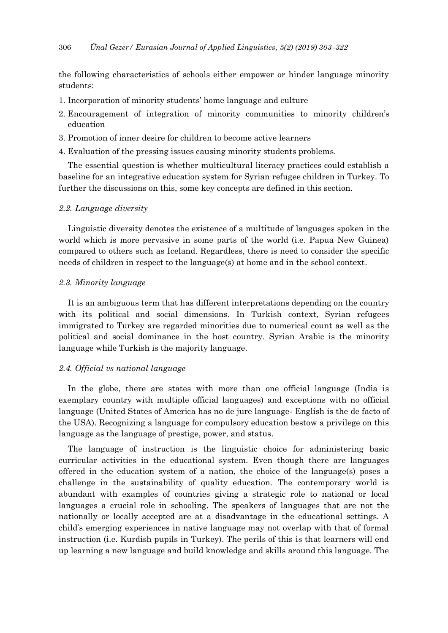the following characteristics of schools either empower or hinder language minority students:

- 1. Incorporation of minority students' home language and culture
- 2. Encouragement of integration of minority communities to minority children's education
- 3. Promotion of inner desire for children to become active learners
- 4. Evaluation of the pressing issues causing minority students problems.

The essential question is whether multicultural literacy practices could establish a baseline for an integrative education system for Syrian refugee children in Turkey. To further the discussions on this, some key concepts are defined in this section.

## *2.2. Language diversity*

Linguistic diversity denotes the existence of a multitude of languages spoken in the world which is more pervasive in some parts of the world (i.e. Papua New Guinea) compared to others such as Iceland. Regardless, there is need to consider the specific needs of children in respect to the language(s) at home and in the school context.

# *2.3. Minority language*

It is an ambiguous term that has different interpretations depending on the country with its political and social dimensions. In Turkish context, Syrian refugees immigrated to Turkey are regarded minorities due to numerical count as well as the political and social dominance in the host country. Syrian Arabic is the minority language while Turkish is the majority language.

# *2.4. Official vs national language*

In the globe, there are states with more than one official language (India is exemplary country with multiple official languages) and exceptions with no official language (United States of America has no de jure language- English is the de facto of the USA). Recognizing a language for compulsory education bestow a privilege on this language as the language of prestige, power, and status.

The language of instruction is the linguistic choice for administering basic curricular activities in the educational system. Even though there are languages offered in the education system of a nation, the choice of the language(s) poses a challenge in the sustainability of quality education. The contemporary world is abundant with examples of countries giving a strategic role to national or local languages a crucial role in schooling. The speakers of languages that are not the nationally or locally accepted are at a disadvantage in the educational settings. A child's emerging experiences in native language may not overlap with that of formal instruction (i.e. Kurdish pupils in Turkey). The perils of this is that learners will end up learning a new language and build knowledge and skills around this language. The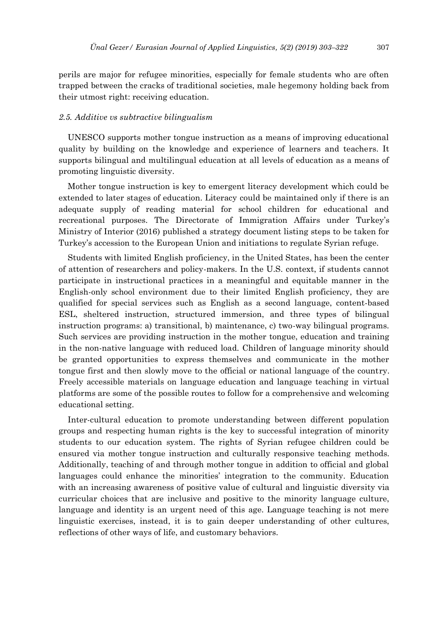perils are major for refugee minorities, especially for female students who are often trapped between the cracks of traditional societies, male hegemony holding back from their utmost right: receiving education.

#### *2.5. Additive vs subtractive bilingualism*

UNESCO supports mother tongue instruction as a means of improving educational quality by building on the knowledge and experience of learners and teachers. It supports bilingual and multilingual education at all levels of education as a means of promoting linguistic diversity.

Mother tongue instruction is key to emergent literacy development which could be extended to later stages of education. Literacy could be maintained only if there is an adequate supply of reading material for school children for educational and recreational purposes. The Directorate of Immigration Affairs under Turkey's Ministry of Interior (2016) published a strategy document listing steps to be taken for Turkey's accession to the European Union and initiations to regulate Syrian refuge.

Students with limited English proficiency, in the United States, has been the center of attention of researchers and policy-makers. In the U.S. context, if students cannot participate in instructional practices in a meaningful and equitable manner in the English-only school environment due to their limited English proficiency, they are qualified for special services such as English as a second language, content-based ESL, sheltered instruction, structured immersion, and three types of bilingual instruction programs: a) transitional, b) maintenance, c) two-way bilingual programs. Such services are providing instruction in the mother tongue, education and training in the non-native language with reduced load. Children of language minority should be granted opportunities to express themselves and communicate in the mother tongue first and then slowly move to the official or national language of the country. Freely accessible materials on language education and language teaching in virtual platforms are some of the possible routes to follow for a comprehensive and welcoming educational setting.

Inter-cultural education to promote understanding between different population groups and respecting human rights is the key to successful integration of minority students to our education system. The rights of Syrian refugee children could be ensured via mother tongue instruction and culturally responsive teaching methods. Additionally, teaching of and through mother tongue in addition to official and global languages could enhance the minorities' integration to the community. Education with an increasing awareness of positive value of cultural and linguistic diversity via curricular choices that are inclusive and positive to the minority language culture, language and identity is an urgent need of this age. Language teaching is not mere linguistic exercises, instead, it is to gain deeper understanding of other cultures, reflections of other ways of life, and customary behaviors.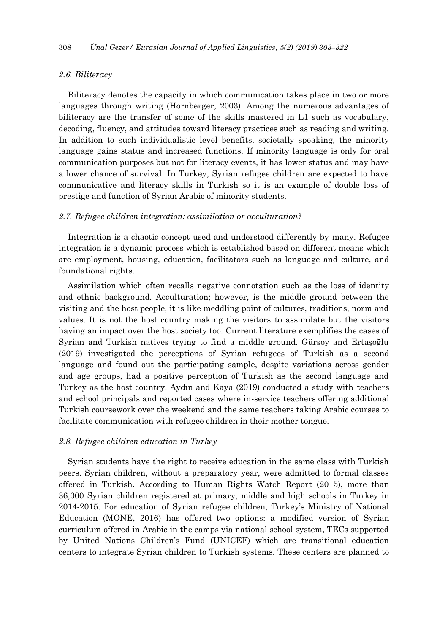## *2.6. Biliteracy*

Biliteracy denotes the capacity in which communication takes place in two or more languages through writing (Hornberger, 2003). Among the numerous advantages of biliteracy are the transfer of some of the skills mastered in L1 such as vocabulary, decoding, fluency, and attitudes toward literacy practices such as reading and writing. In addition to such individualistic level benefits, societally speaking, the minority language gains status and increased functions. If minority language is only for oral communication purposes but not for literacy events, it has lower status and may have a lower chance of survival. In Turkey, Syrian refugee children are expected to have communicative and literacy skills in Turkish so it is an example of double loss of prestige and function of Syrian Arabic of minority students.

#### *2.7. Refugee children integration: assimilation or acculturation?*

Integration is a chaotic concept used and understood differently by many. Refugee integration is a dynamic process which is established based on different means which are employment, housing, education, facilitators such as language and culture, and foundational rights.

Assimilation which often recalls negative connotation such as the loss of identity and ethnic background. Acculturation; however, is the middle ground between the visiting and the host people, it is like meddling point of cultures, traditions, norm and values. It is not the host country making the visitors to assimilate but the visitors having an impact over the host society too. Current literature exemplifies the cases of Syrian and Turkish natives trying to find a middle ground. Gürsoy and Ertaşoğlu (2019) investigated the perceptions of Syrian refugees of Turkish as a second language and found out the participating sample, despite variations across gender and age groups, had a positive perception of Turkish as the second language and Turkey as the host country. Aydın and Kaya (2019) conducted a study with teachers and school principals and reported cases where in-service teachers offering additional Turkish coursework over the weekend and the same teachers taking Arabic courses to facilitate communication with refugee children in their mother tongue.

#### *2.8. Refugee children education in Turkey*

Syrian students have the right to receive education in the same class with Turkish peers. Syrian children, without a preparatory year, were admitted to formal classes offered in Turkish. According to Human Rights Watch Report (2015), more than 36,000 Syrian children registered at primary, middle and high schools in Turkey in 2014-2015. For education of Syrian refugee children, Turkey's Ministry of National Education (MONE, 2016) has offered two options: a modified version of Syrian curriculum offered in Arabic in the camps via national school system, TECs supported by United Nations Children's Fund (UNICEF) which are transitional education centers to integrate Syrian children to Turkish systems. These centers are planned to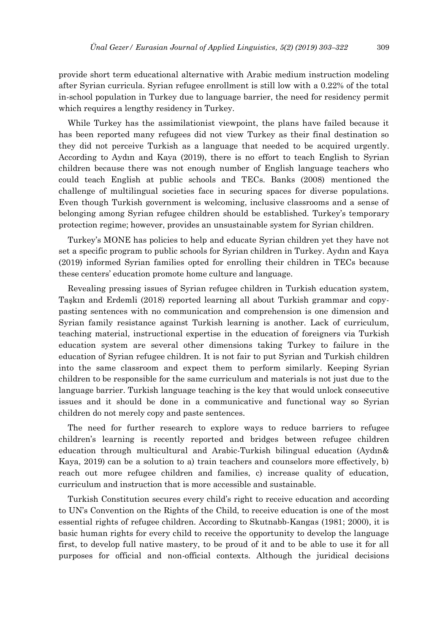provide short term educational alternative with Arabic medium instruction modeling after Syrian curricula. Syrian refugee enrollment is still low with a 0.22% of the total in-school population in Turkey due to language barrier, the need for residency permit which requires a lengthy residency in Turkey.

While Turkey has the assimilationist viewpoint, the plans have failed because it has been reported many refugees did not view Turkey as their final destination so they did not perceive Turkish as a language that needed to be acquired urgently. According to Aydın and Kaya (2019), there is no effort to teach English to Syrian children because there was not enough number of English language teachers who could teach English at public schools and TECs. Banks (2008) mentioned the challenge of multilingual societies face in securing spaces for diverse populations. Even though Turkish government is welcoming, inclusive classrooms and a sense of belonging among Syrian refugee children should be established. Turkey's temporary protection regime; however, provides an unsustainable system for Syrian children.

Turkey's MONE has policies to help and educate Syrian children yet they have not set a specific program to public schools for Syrian children in Turkey. Aydın and Kaya (2019) informed Syrian families opted for enrolling their children in TECs because these centers' education promote home culture and language.

Revealing pressing issues of Syrian refugee children in Turkish education system, Taşkın and Erdemli (2018) reported learning all about Turkish grammar and copypasting sentences with no communication and comprehension is one dimension and Syrian family resistance against Turkish learning is another. Lack of curriculum, teaching material, instructional expertise in the education of foreigners via Turkish education system are several other dimensions taking Turkey to failure in the education of Syrian refugee children. It is not fair to put Syrian and Turkish children into the same classroom and expect them to perform similarly. Keeping Syrian children to be responsible for the same curriculum and materials is not just due to the language barrier. Turkish language teaching is the key that would unlock consecutive issues and it should be done in a communicative and functional way so Syrian children do not merely copy and paste sentences.

The need for further research to explore ways to reduce barriers to refugee children's learning is recently reported and bridges between refugee children education through multicultural and Arabic-Turkish bilingual education (Aydın& Kaya, 2019) can be a solution to a) train teachers and counselors more effectively, b) reach out more refugee children and families, c) increase quality of education, curriculum and instruction that is more accessible and sustainable.

Turkish Constitution secures every child's right to receive education and according to UN's Convention on the Rights of the Child, to receive education is one of the most essential rights of refugee children. According to Skutnabb-Kangas (1981; 2000), it is basic human rights for every child to receive the opportunity to develop the language first, to develop full native mastery, to be proud of it and to be able to use it for all purposes for official and non-official contexts. Although the juridical decisions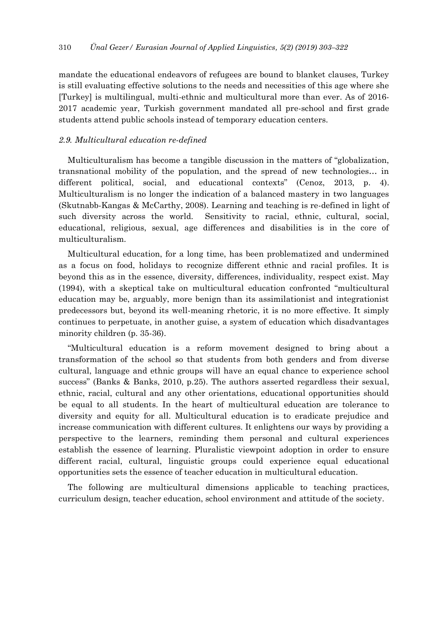mandate the educational endeavors of refugees are bound to blanket clauses, Turkey is still evaluating effective solutions to the needs and necessities of this age where she [Turkey] is multilingual, multi-ethnic and multicultural more than ever. As of 2016- 2017 academic year, Turkish government mandated all pre-school and first grade students attend public schools instead of temporary education centers.

# *2.9. Multicultural education re-defined*

Multiculturalism has become a tangible discussion in the matters of "globalization, transnational mobility of the population, and the spread of new technologies… in different political, social, and educational contexts" (Cenoz, 2013, p. 4). Multiculturalism is no longer the indication of a balanced mastery in two languages (Skutnabb-Kangas & McCarthy, 2008). Learning and teaching is re-defined in light of such diversity across the world. Sensitivity to racial, ethnic, cultural, social, educational, religious, sexual, age differences and disabilities is in the core of multiculturalism.

Multicultural education, for a long time, has been problematized and undermined as a focus on food, holidays to recognize different ethnic and racial profiles. It is beyond this as in the essence, diversity, differences, individuality, respect exist. May (1994), with a skeptical take on multicultural education confronted "multicultural education may be, arguably, more benign than its assimilationist and integrationist predecessors but, beyond its well-meaning rhetoric, it is no more effective. It simply continues to perpetuate, in another guise, a system of education which disadvantages minority children (p. 35-36).

"Multicultural education is a reform movement designed to bring about a transformation of the school so that students from both genders and from diverse cultural, language and ethnic groups will have an equal chance to experience school success" (Banks & Banks, 2010, p.25). The authors asserted regardless their sexual, ethnic, racial, cultural and any other orientations, educational opportunities should be equal to all students. In the heart of multicultural education are tolerance to diversity and equity for all. Multicultural education is to eradicate prejudice and increase communication with different cultures. It enlightens our ways by providing a perspective to the learners, reminding them personal and cultural experiences establish the essence of learning. Pluralistic viewpoint adoption in order to ensure different racial, cultural, linguistic groups could experience equal educational opportunities sets the essence of teacher education in multicultural education.

The following are multicultural dimensions applicable to teaching practices, curriculum design, teacher education, school environment and attitude of the society.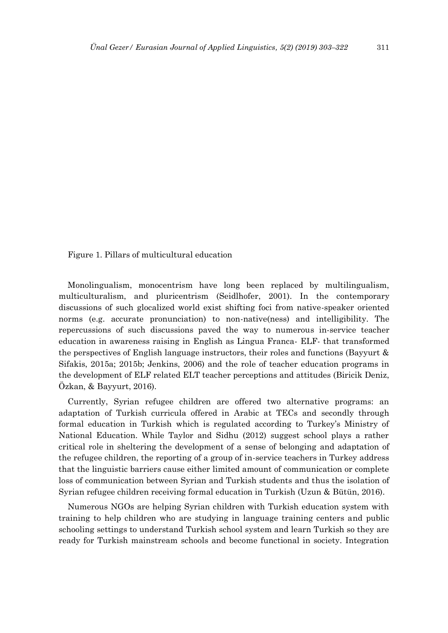Figure 1. Pillars of multicultural education

Monolingualism, monocentrism have long been replaced by multilingualism, multiculturalism, and pluricentrism (Seidlhofer, 2001). In the contemporary discussions of such glocalized world exist shifting foci from native-speaker oriented norms (e.g. accurate pronunciation) to non-native(ness) and intelligibility. The repercussions of such discussions paved the way to numerous in-service teacher education in awareness raising in English as Lingua Franca- ELF- that transformed the perspectives of English language instructors, their roles and functions (Bayyurt & Sifakis, 2015a; 2015b; Jenkins, 2006) and the role of teacher education programs in the development of ELF related ELT teacher perceptions and attitudes (Biricik Deniz, Özkan, & Bayyurt, 2016).

Currently, Syrian refugee children are offered two alternative programs: an adaptation of Turkish curricula offered in Arabic at TECs and secondly through formal education in Turkish which is regulated according to Turkey's Ministry of National Education. While Taylor and Sidhu (2012) suggest school plays a rather critical role in sheltering the development of a sense of belonging and adaptation of the refugee children, the reporting of a group of in-service teachers in Turkey address that the linguistic barriers cause either limited amount of communication or complete loss of communication between Syrian and Turkish students and thus the isolation of Syrian refugee children receiving formal education in Turkish (Uzun & Bütün, 2016).

Numerous NGOs are helping Syrian children with Turkish education system with training to help children who are studying in language training centers and public schooling settings to understand Turkish school system and learn Turkish so they are ready for Turkish mainstream schools and become functional in society. Integration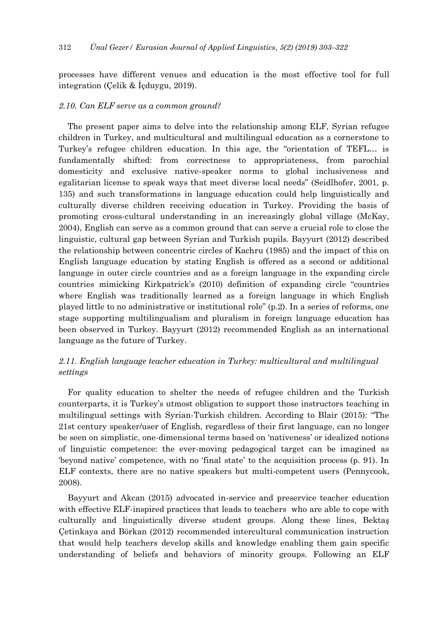processes have different venues and education is the most effective tool for full integration (Çelik & İçduygu, 2019).

#### *2.10. Can ELF serve as a common ground?*

The present paper aims to delve into the relationship among ELF, Syrian refugee children in Turkey, and multicultural and multilingual education as a cornerstone to Turkey's refugee children education. In this age, the "orientation of TEFL… is fundamentally shifted: from correctness to appropriateness, from parochial domesticity and exclusive native-speaker norms to global inclusiveness and egalitarian license to speak ways that meet diverse local needs" (Seidlhofer, 2001, p. 135) and such transformations in language education could help linguistically and culturally diverse children receiving education in Turkey. Providing the basis of promoting cross-cultural understanding in an increasingly global village (McKay, 2004), English can serve as a common ground that can serve a crucial role to close the linguistic, cultural gap between Syrian and Turkish pupils. Bayyurt (2012) described the relationship between concentric circles of Kachru (1985) and the impact of this on English language education by stating English is offered as a second or additional language in outer circle countries and as a foreign language in the expanding circle countries mimicking Kirkpatrick's (2010) definition of expanding circle "countries where English was traditionally learned as a foreign language in which English played little to no administrative or institutional role" (p.2). In a series of reforms, one stage supporting multilingualism and pluralism in foreign language education has been observed in Turkey. Bayyurt (2012) recommended English as an international language as the future of Turkey.

# *2.11. English language teacher education in Turkey: multicultural and multilingual settings*

For quality education to shelter the needs of refugee children and the Turkish counterparts, it is Turkey's utmost obligation to support those instructors teaching in multilingual settings with Syrian-Turkish children. According to Blair (2015): "The 21st century speaker/user of English, regardless of their first language, can no longer be seen on simplistic, one-dimensional terms based on 'nativeness' or idealized notions of linguistic competence: the ever-moving pedagogical target can be imagined as 'beyond native' competence, with no 'final state' to the acquisition process (p. 91). In ELF contexts, there are no native speakers but multi-competent users (Pennycook, 2008).

Bayyurt and Akcan (2015) advocated in-service and preservice teacher education with effective ELF-inspired practices that leads to teachers who are able to cope with culturally and linguistically diverse student groups. Along these lines, Bektaş Çetinkaya and Börkan (2012) recommended intercultural communication instruction that would help teachers develop skills and knowledge enabling them gain specific understanding of beliefs and behaviors of minority groups. Following an ELF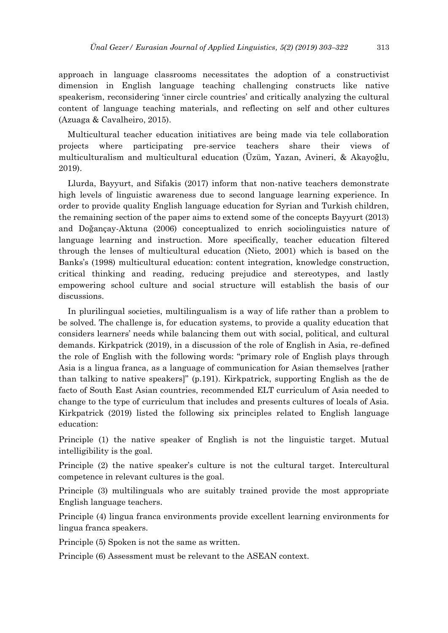approach in language classrooms necessitates the adoption of a constructivist dimension in English language teaching challenging constructs like native speakerism, reconsidering 'inner circle countries' and critically analyzing the cultural content of language teaching materials, and reflecting on self and other cultures (Azuaga & Cavalheiro, 2015).

Multicultural teacher education initiatives are being made via tele collaboration projects where participating pre-service teachers share their views of multiculturalism and multicultural education (Üzüm, Yazan, Avineri, & Akayoğlu, 2019).

Llurda, Bayyurt, and Sifakis (2017) inform that non-native teachers demonstrate high levels of linguistic awareness due to second language learning experience. In order to provide quality English language education for Syrian and Turkish children, the remaining section of the paper aims to extend some of the concepts Bayyurt (2013) and Doğançay-Aktuna (2006) conceptualized to enrich sociolinguistics nature of language learning and instruction. More specifically, teacher education filtered through the lenses of multicultural education (Nieto, 2001) which is based on the Banks's (1998) multicultural education: content integration, knowledge construction, critical thinking and reading, reducing prejudice and stereotypes, and lastly empowering school culture and social structure will establish the basis of our discussions.

In plurilingual societies, multilingualism is a way of life rather than a problem to be solved. The challenge is, for education systems, to provide a quality education that considers learners' needs while balancing them out with social, political, and cultural demands. Kirkpatrick (2019), in a discussion of the role of English in Asia, re-defined the role of English with the following words: "primary role of English plays through Asia is a lingua franca, as a language of communication for Asian themselves [rather than talking to native speakers]" (p.191). Kirkpatrick, supporting English as the de facto of South East Asian countries, recommended ELT curriculum of Asia needed to change to the type of curriculum that includes and presents cultures of locals of Asia. Kirkpatrick (2019) listed the following six principles related to English language education:

Principle (1) the native speaker of English is not the linguistic target. Mutual intelligibility is the goal.

Principle (2) the native speaker's culture is not the cultural target. Intercultural competence in relevant cultures is the goal.

Principle (3) multilinguals who are suitably trained provide the most appropriate English language teachers.

Principle (4) lingua franca environments provide excellent learning environments for lingua franca speakers.

Principle (5) Spoken is not the same as written.

Principle (6) Assessment must be relevant to the ASEAN context.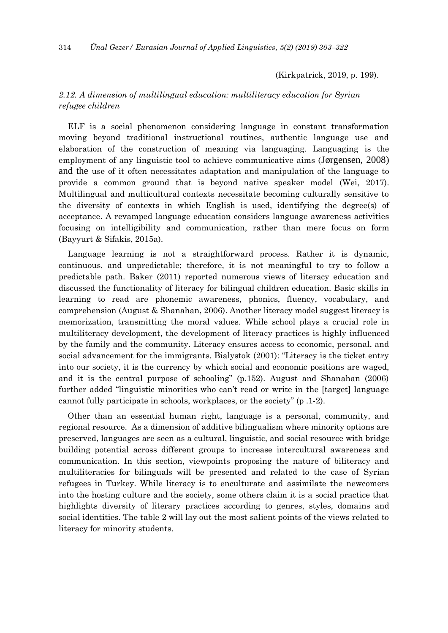(Kirkpatrick, 2019, p. 199).

# *2.12. A dimension of multilingual education: multiliteracy education for Syrian refugee children*

ELF is a social phenomenon considering language in constant transformation moving beyond traditional instructional routines, authentic language use and elaboration of the construction of meaning via languaging. Languaging is the employment of any linguistic tool to achieve communicative aims (Jørgensen, 2008) and the use of it often necessitates adaptation and manipulation of the language to provide a common ground that is beyond native speaker model (Wei, 2017). Multilingual and multicultural contexts necessitate becoming culturally sensitive to the diversity of contexts in which English is used, identifying the degree(s) of acceptance. A revamped language education considers language awareness activities focusing on intelligibility and communication, rather than mere focus on form (Bayyurt & Sifakis, 2015a).

Language learning is not a straightforward process. Rather it is dynamic, continuous, and unpredictable; therefore, it is not meaningful to try to follow a predictable path. Baker (2011) reported numerous views of literacy education and discussed the functionality of literacy for bilingual children education. Basic skills in learning to read are phonemic awareness, phonics, fluency, vocabulary, and comprehension (August & Shanahan, 2006). Another literacy model suggest literacy is memorization, transmitting the moral values. While school plays a crucial role in multiliteracy development, the development of literacy practices is highly influenced by the family and the community. Literacy ensures access to economic, personal, and social advancement for the immigrants. Bialystok (2001): "Literacy is the ticket entry into our society, it is the currency by which social and economic positions are waged, and it is the central purpose of schooling" (p.152). August and Shanahan (2006) further added "linguistic minorities who can't read or write in the [target] language cannot fully participate in schools, workplaces, or the society" (p .1-2).

Other than an essential human right, language is a personal, community, and regional resource. As a dimension of additive bilingualism where minority options are preserved, languages are seen as a cultural, linguistic, and social resource with bridge building potential across different groups to increase intercultural awareness and communication. In this section, viewpoints proposing the nature of biliteracy and multiliteracies for bilinguals will be presented and related to the case of Syrian refugees in Turkey. While literacy is to enculturate and assimilate the newcomers into the hosting culture and the society, some others claim it is a social practice that highlights diversity of literary practices according to genres, styles, domains and social identities. The table 2 will lay out the most salient points of the views related to literacy for minority students.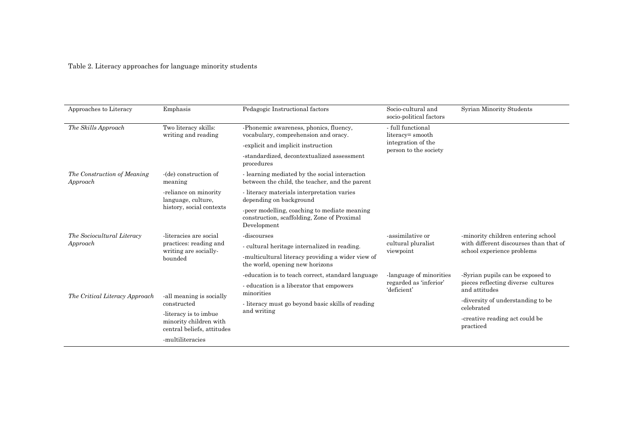# Table 2. Literacy approaches for language minority students

| Approaches to Literacy                  | Emphasis                                                                             | Pedagogic Instructional factors                                                                            | Socio-cultural and<br>socio-political factors                                        | Syrian Minority Students                                                                                   |
|-----------------------------------------|--------------------------------------------------------------------------------------|------------------------------------------------------------------------------------------------------------|--------------------------------------------------------------------------------------|------------------------------------------------------------------------------------------------------------|
| The Skills Approach                     | Two literacy skills:<br>writing and reading                                          | -Phonemic awareness, phonics, fluency,<br>vocabulary, comprehension and oracy.                             | - full functional<br>literacy= smooth<br>integration of the<br>person to the society |                                                                                                            |
|                                         |                                                                                      | -explicit and implicit instruction                                                                         |                                                                                      |                                                                                                            |
|                                         |                                                                                      | -standardized, decontextualized assessment<br>procedures                                                   |                                                                                      |                                                                                                            |
| The Construction of Meaning<br>Approach | -(de) construction of<br>meaning                                                     | - learning mediated by the social interaction<br>between the child, the teacher, and the parent            |                                                                                      |                                                                                                            |
|                                         | -reliance on minority<br>language, culture,                                          | - literacy materials interpretation varies<br>depending on background                                      |                                                                                      |                                                                                                            |
|                                         | history, social contexts                                                             | -peer modelling, coaching to mediate meaning<br>construction, scaffolding, Zone of Proximal<br>Development |                                                                                      |                                                                                                            |
| The Sociocultural Literacy<br>Approach  | -literacies are social<br>practices: reading and<br>writing are socially-<br>bounded | -discourses                                                                                                | -assimilative or<br>cultural pluralist<br>viewpoint                                  | -minority children entering school<br>with different discourses than that of<br>school experience problems |
|                                         |                                                                                      | - cultural heritage internalized in reading.                                                               |                                                                                      |                                                                                                            |
|                                         |                                                                                      | -multicultural literacy providing a wider view of<br>the world, opening new horizons                       |                                                                                      |                                                                                                            |
|                                         |                                                                                      | -education is to teach correct, standard language                                                          | language of minorities<br>regarded as 'inferior'<br>'deficient'                      | -Syrian pupils can be exposed to<br>pieces reflecting diverse cultures<br>and attitudes                    |
| The Critical Literacy Approach          | -all meaning is socially                                                             | - education is a liberator that empowers<br>minorities                                                     |                                                                                      |                                                                                                            |
|                                         | constructed                                                                          | - literacy must go beyond basic skills of reading<br>and writing                                           |                                                                                      | -diversity of understanding to be<br>celebrated                                                            |
|                                         | -literacy is to imbue<br>minority children with<br>central beliefs, attitudes        |                                                                                                            |                                                                                      | -creative reading act could be<br>practiced                                                                |
|                                         | -multiliteracies                                                                     |                                                                                                            |                                                                                      |                                                                                                            |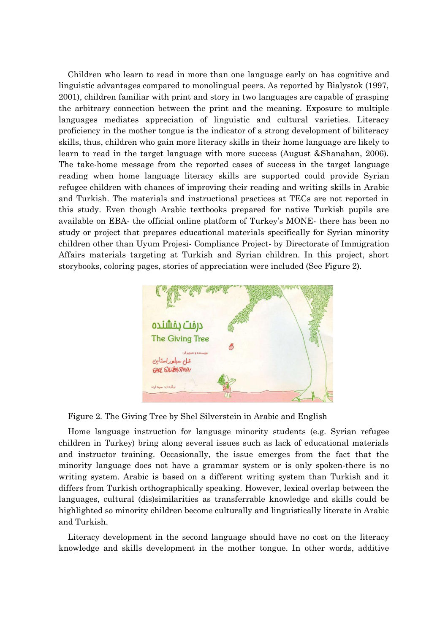Children who learn to read in more than one language early on has cognitive and linguistic advantages compared to monolingual peers. As reported by Bialystok (1997, 2001), children familiar with print and story in two languages are capable of grasping the arbitrary connection between the print and the meaning. Exposure to multiple languages mediates appreciation of linguistic and cultural varieties. Literacy proficiency in the mother tongue is the indicator of a strong development of biliteracy skills, thus, children who gain more literacy skills in their home language are likely to learn to read in the target language with more success (August &Shanahan, 2006). The take-home message from the reported cases of success in the target language reading when home language literacy skills are supported could provide Syrian refugee children with chances of improving their reading and writing skills in Arabic and Turkish. The materials and instructional practices at TECs are not reported in this study. Even though Arabic textbooks prepared for native Turkish pupils are available on EBA- the official online platform of Turkey's MONE- there has been no study or project that prepares educational materials specifically for Syrian minority children other than Uyum Projesi- Compliance Project- by Directorate of Immigration Affairs materials targeting at Turkish and Syrian children. In this project, short storybooks, coloring pages, stories of appreciation were included (See Figure 2).



Figure 2. The Giving Tree by Shel Silverstein in Arabic and English

Home language instruction for language minority students (e.g. Syrian refugee children in Turkey) bring along several issues such as lack of educational materials and instructor training. Occasionally, the issue emerges from the fact that the minority language does not have a grammar system or is only spoken-there is no writing system. Arabic is based on a different writing system than Turkish and it differs from Turkish orthographically speaking. However, lexical overlap between the languages, cultural (dis)similarities as transferrable knowledge and skills could be highlighted so minority children become culturally and linguistically literate in Arabic and Turkish.

Literacy development in the second language should have no cost on the literacy knowledge and skills development in the mother tongue. In other words, additive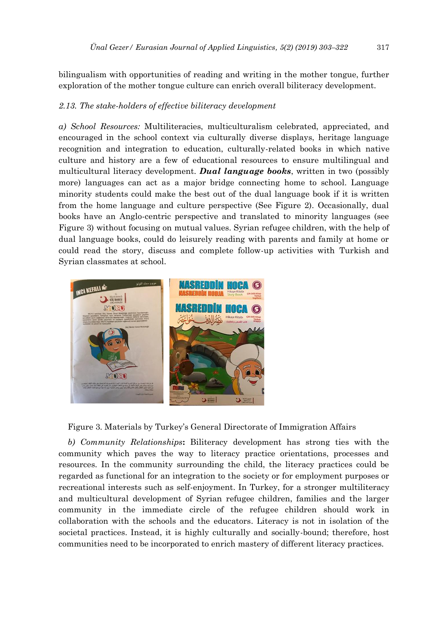bilingualism with opportunities of reading and writing in the mother tongue, further exploration of the mother tongue culture can enrich overall biliteracy development.

# *2.13. The stake-holders of effective biliteracy development*

*a) School Resources:* Multiliteracies, multiculturalism celebrated, appreciated, and encouraged in the school context via culturally diverse displays, heritage language recognition and integration to education, culturally-related books in which native culture and history are a few of educational resources to ensure multilingual and multicultural literacy development. *Dual language books*, written in two (possibly more) languages can act as a major bridge connecting home to school. Language minority students could make the best out of the dual language book if it is written from the home language and culture perspective (See Figure 2). Occasionally, dual books have an Anglo-centric perspective and translated to minority languages (see Figure 3) without focusing on mutual values. Syrian refugee children, with the help of dual language books, could do leisurely reading with parents and family at home or could read the story, discuss and complete follow-up activities with Turkish and Syrian classmates at school.



Figure 3. Materials by Turkey's General Directorate of Immigration Affairs

*b) Community Relationships***:** Biliteracy development has strong ties with the community which paves the way to literacy practice orientations, processes and resources. In the community surrounding the child, the literacy practices could be regarded as functional for an integration to the society or for employment purposes or recreational interests such as self-enjoyment. In Turkey, for a stronger multiliteracy and multicultural development of Syrian refugee children, families and the larger community in the immediate circle of the refugee children should work in collaboration with the schools and the educators. Literacy is not in isolation of the societal practices. Instead, it is highly culturally and socially-bound; therefore, host communities need to be incorporated to enrich mastery of different literacy practices.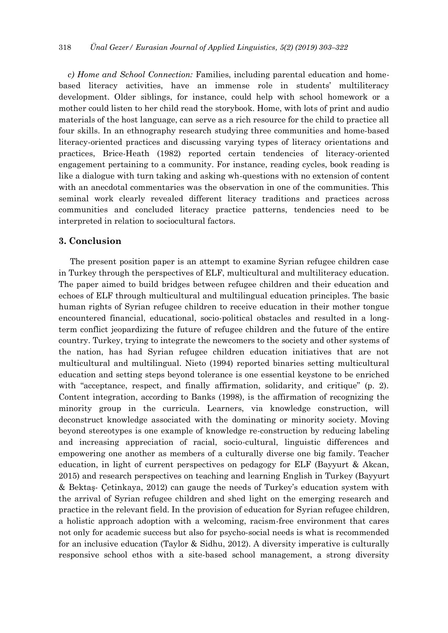*c) Home and School Connection:* Families, including parental education and homebased literacy activities, have an immense role in students' multiliteracy development. Older siblings, for instance, could help with school homework or a mother could listen to her child read the storybook. Home, with lots of print and audio materials of the host language, can serve as a rich resource for the child to practice all four skills. In an ethnography research studying three communities and home-based literacy-oriented practices and discussing varying types of literacy orientations and practices, Brice-Heath (1982) reported certain tendencies of literacy-oriented engagement pertaining to a community. For instance, reading cycles, book reading is like a dialogue with turn taking and asking wh-questions with no extension of content with an anecdotal commentaries was the observation in one of the communities. This seminal work clearly revealed different literacy traditions and practices across communities and concluded literacy practice patterns, tendencies need to be interpreted in relation to sociocultural factors.

# **3. Conclusion**

 The present position paper is an attempt to examine Syrian refugee children case in Turkey through the perspectives of ELF, multicultural and multiliteracy education. The paper aimed to build bridges between refugee children and their education and echoes of ELF through multicultural and multilingual education principles. The basic human rights of Syrian refugee children to receive education in their mother tongue encountered financial, educational, socio-political obstacles and resulted in a longterm conflict jeopardizing the future of refugee children and the future of the entire country. Turkey, trying to integrate the newcomers to the society and other systems of the nation, has had Syrian refugee children education initiatives that are not multicultural and multilingual. Nieto (1994) reported binaries setting multicultural education and setting steps beyond tolerance is one essential keystone to be enriched with "acceptance, respect, and finally affirmation, solidarity, and critique" (p. 2). Content integration, according to Banks (1998), is the affirmation of recognizing the minority group in the curricula. Learners, via knowledge construction, will deconstruct knowledge associated with the dominating or minority society. Moving beyond stereotypes is one example of knowledge re-construction by reducing labeling and increasing appreciation of racial, socio-cultural, linguistic differences and empowering one another as members of a culturally diverse one big family. Teacher education, in light of current perspectives on pedagogy for ELF (Bayyurt & Akcan, 2015) and research perspectives on teaching and learning English in Turkey (Bayyurt & Bektaş- Çetinkaya, 2012) can gauge the needs of Turkey's education system with the arrival of Syrian refugee children and shed light on the emerging research and practice in the relevant field. In the provision of education for Syrian refugee children, a holistic approach adoption with a welcoming, racism-free environment that cares not only for academic success but also for psycho-social needs is what is recommended for an inclusive education (Taylor & Sidhu, 2012). A diversity imperative is culturally responsive school ethos with a site-based school management, a strong diversity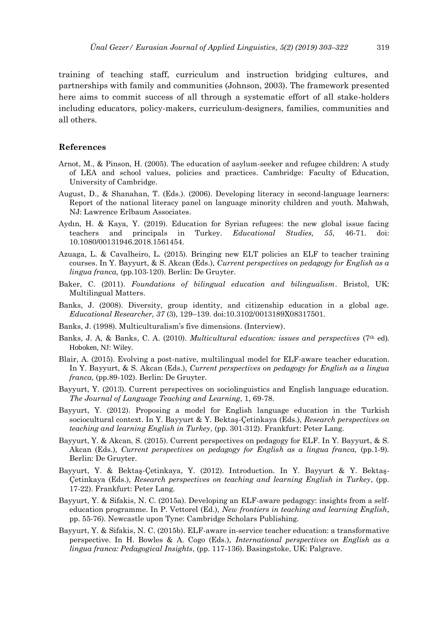training of teaching staff, curriculum and instruction bridging cultures, and partnerships with family and communities (Johnson, 2003). The framework presented here aims to commit success of all through a systematic effort of all stake-holders including educators, policy-makers, curriculum-designers, families, communities and all others.

#### **References**

- Arnot, M., & Pinson, H. (2005). The education of asylum-seeker and refugee children: A study of LEA and school values, policies and practices. Cambridge: Faculty of Education, University of Cambridge.
- August, D., & Shanahan, T. (Eds.). (2006). Developing literacy in second-language learners: Report of the national literacy panel on language minority children and youth. Mahwah, NJ: Lawrence Erlbaum Associates.
- Aydın, H. & Kaya, Y. (2019). Education for Syrian refugees: the new global issue facing teachers and principals in Turkey. *Educational Studies, 55*, 46-71. doi: 10.1080/00131946.2018.1561454.
- Azuaga, L. & Cavalheiro, L. (2015). Bringing new ELT policies an ELF to teacher training courses. In Y. Bayyurt, & S. Akcan (Eds.), *Current perspectives on pedagogy for English as a lingua franca,* (pp.103-120). Berlin: De Gruyter.
- Baker, C. (2011). *Foundations of bilingual education and bilingualism*. Bristol, UK: Multilingual Matters.
- Banks, J. (2008). Diversity, group identity, and citizenship education in a global age. *Educational Researcher, 37* (3), 129–139. doi:10.3102/0013189X08317501.
- Banks, J. (1998). Multiculturalism's five dimensions. (Interview).
- Banks, J. A, & Banks, C. A. (2010). *Multicultural education: issues and perspectives* (7th ed). Hoboken, NJ: Wiley.
- Blair, A. (2015). Evolving a post-native, multilingual model for ELF-aware teacher education. In Y. Bayyurt, & S. Akcan (Eds.), *Current perspectives on pedagogy for English as a lingua franca,* (pp.89-102). Berlin: De Gruyter.
- Bayyurt, Y. (2013). Current perspectives on sociolinguistics and English language education. *The Journal of Language Teaching and Learning*, 1, 69-78.
- Bayyurt, Y. (2012). Proposing a model for English language education in the Turkish sociocultural context. In Y. Bayyurt & Y. Bektaş-Çetinkaya (Eds.), *Research perspectives on teaching and learning English in Turkey*, (pp. 301-312). Frankfurt: Peter Lang.
- Bayyurt, Y. & Akcan, S. (2015). Current perspectives on pedagogy for ELF. In Y. Bayyurt, & S. Akcan (Eds.), *Current perspectives on pedagogy for English as a lingua franca*, (pp.1-9). Berlin: De Gruyter.
- Bayyurt, Y. & Bektaş-Çetinkaya, Y. (2012). Introduction. In Y. Bayyurt & Y. Bektaş-Çetinkaya (Eds.), *Research perspectives on teaching and learning English in Turkey*, (pp. 17-22). Frankfurt: Peter Lang.
- Bayyurt, Y. & Sifakis, N. C. (2015a). Developing an ELF-aware pedagogy: insights from a selfeducation programme. In P. Vettorel (Ed.), *New frontiers in teaching and learning English*, pp. 55-76). Newcastle upon Tyne: Cambridge Scholars Publishing.
- Bayyurt, Y. & Sifakis, N. C. (2015b). ELF-aware in-service teacher education: a transformative perspective. In H. Bowles & A. Cogo (Eds.), *International perspectives on English as a lingua franca: Pedagogical Insights*, (pp. 117-136). Basingstoke, UK: Palgrave.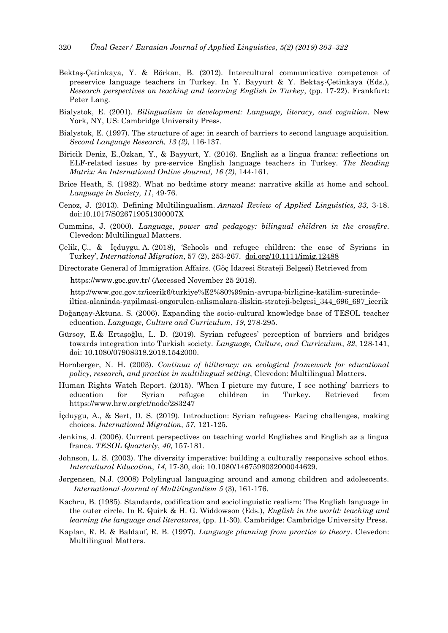- Bektaş-Çetinkaya, Y. & Börkan, B. (2012). Intercultural communicative competence of preservice language teachers in Turkey. In Y. Bayyurt & Y. Bektaş-Çetinkaya (Eds.), *Research perspectives on teaching and learning English in Turkey*, (pp. 17-22). Frankfurt: Peter Lang.
- Bialystok, E. (2001). *Bilingualism in development: Language, literacy, and cognition*. New York, NY, US: Cambridge University Press.
- Bialystok, E. (1997). The structure of age: in search of barriers to second language acquisition. *Second Language Research, 13 (2)*, 116-137.
- Biricik Deniz, E.,Özkan, Y., & Bayyurt, Y. (2016). English as a lingua franca: reflections on ELF-related issues by pre-service English language teachers in Turkey. *The Reading Matrix: An International Online Journal, 16 (2)*, 144-161.
- Brice Heath, S. (1982). What no bedtime story means: narrative skills at home and school. *Language in Society, 11*, 49-76.
- Cenoz, J. (2013). Defining Multilingualism. *Annual Review of Applied Linguistics, 33*, 3-18. doi:10.1017/S026719051300007X
- Cummins, J. (2000). *Language, power and pedagogy: bilingual children in the crossfire*. Clevedon: Multilingual Matters.
- Çelik, Ç., & İçduygu, A. (2018), 'Schools and refugee children: the case of Syrians in Turkey', *International Migration*, 57 (2), 253-267. [doi.org/10.1111/imig.12488](https://doi.org/10.1111/imig.12488)

Directorate General of Immigration Affairs. (Göç İdaresi Strateji Belgesi) Retrieved from https://www.goc.gov.tr/ (Accessed November 25 2018).

[http://www.goc.gov.tr/icerik6/turkiye%E2%80%99nin-avrupa-birligine-katilim-surecinde](http://www.goc.gov.tr/icerik6/turkiye%E2%80%99nin-avrupa-birligine-katilim-surecinde-iltica-alaninda-yapilmasi-ongorulen-calismalara-iliskin-strateji-belgesi_344_696_697_icerik)[iltica-alaninda-yapilmasi-ongorulen-calismalara-iliskin-strateji-belgesi\\_344\\_696\\_697\\_icerik](http://www.goc.gov.tr/icerik6/turkiye%E2%80%99nin-avrupa-birligine-katilim-surecinde-iltica-alaninda-yapilmasi-ongorulen-calismalara-iliskin-strateji-belgesi_344_696_697_icerik)

- Doğançay-Aktuna. S. (2006). Expanding the socio-cultural knowledge base of TESOL teacher education. *Language, Culture and Curriculum*, *19*, 278-295.
- Gürsoy, E.& Ertaşoğlu, L. D. (2019). Syrian refugees' perception of barriers and bridges towards integration into Turkish society. *Language, Culture, and Curriculum*, *32*, 128-141, doi: 10.1080/07908318.2018.1542000.
- Hornberger, N. H. (2003). *Continua of biliteracy: an ecological framework for educational policy, research, and practice in multilingual setting*, Clevedon: Multilingual Matters.
- Human Rights Watch Report. (2015). 'When I picture my future, I see nothing' barriers to education for Syrian refugee children in Turkey. Retrieved from <https://www.hrw.org/et/node/283247>
- İçduygu, A., & Sert, D. S. (2019). Introduction: Syrian refugees- Facing challenges, making choices. *International Migration*, *57*, 121-125.
- Jenkins, J. (2006). Current perspectives on teaching world Englishes and English as a lingua franca. *TESOL Quarterly*, *40*, 157-181.
- Johnson, L. S. (2003). The diversity imperative: building a culturally responsive school ethos. *Intercultural Education*, *14*, 17-30, doi: 10.1080/1467598032000044629.
- Jørgensen, N.J. (2008) Polylingual languaging around and among children and adolescents. *International Journal of Multilingualism 5* (3), 161-176.
- Kachru, B. (1985). Standards, codification and sociolinguistic realism: The English language in the outer circle. In R. Quirk & H. G. Widdowson (Eds.), *English in the world: teaching and learning the language and literatures*, (pp. 11-30). Cambridge: Cambridge University Press.
- Kaplan, R. B. & Baldauf, R. B. (1997). *Language planning from practice to theory*. Clevedon: Multilingual Matters.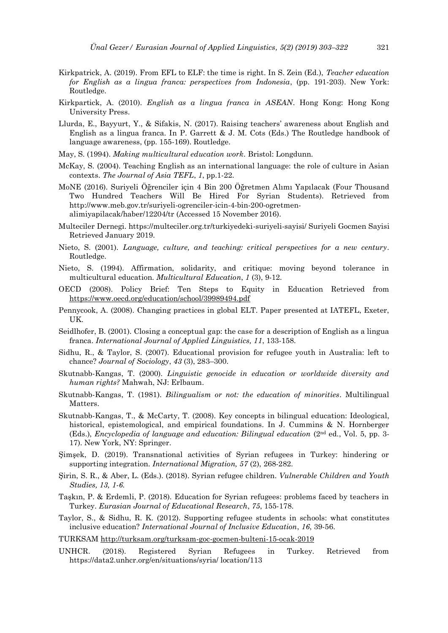- Kirkpatrick, A. (2019). From EFL to ELF: the time is right. In S. Zein (Ed.), *Teacher education for English as a lingua franca: perspectives from Indonesia*, (pp. 191-203). New York: Routledge.
- Kirkpartick, A. (2010). *English as a lingua franca in ASEAN*. Hong Kong: Hong Kong University Press.
- Llurda, E., Bayyurt, Y., & Sifakis, N. (2017). Raising teachers' awareness about English and English as a lingua franca. In P. Garrett & J. M. Cots (Eds.) The Routledge handbook of language awareness, (pp. 155-169). Routledge.
- May, S. (1994). *Making multicultural education work*. Bristol: Longdunn.
- McKay, S. (2004). Teaching English as an international language: the role of culture in Asian contexts. *The Journal of Asia TEFL*, *1*, pp.1-22.
- MoNE (2016). Suriyeli Öğrenciler için 4 Bin 200 Öğretmen Alımı Yapılacak (Four Thousand Two Hundred Teachers Will Be Hired For Syrian Students). Retrieved from http://www.meb.gov.tr/suriyeli-ogrenciler-icin-4-bin-200-ogretmenalimiyapilacak/haber/12204/tr (Accessed 15 November 2016).
- Multeciler Dernegi. https://multeciler.org.tr/turkiyedeki-suriyeli-sayisi/ Suriyeli Gocmen Sayisi Retrieved January 2019.
- Nieto, S. (2001). *Language, culture, and teaching: critical perspectives for a new century*. Routledge.
- Nieto, S. (1994). Affirmation, solidarity, and critique: moving beyond tolerance in multicultural education. *Multicultural Education*, *1* (3), 9-12.
- OECD (2008). Policy Brief: Ten Steps to Equity in Education Retrieved from <https://www.oecd.org/education/school/39989494.pdf>
- Pennycook, A. (2008). Changing practices in global ELT. Paper presented at IATEFL, Exeter, UK.
- Seidlhofer, B. (2001). Closing a conceptual gap: the case for a description of English as a lingua franca. *International Journal of Applied Linguistics, 11*, 133-158.
- Sidhu, R., & Taylor, S. (2007). Educational provision for refugee youth in Australia: left to chance? *Journal of Sociology*, *43* (3), 283–300.
- Skutnabb-Kangas, T. (2000). *Linguistic genocide in education or worldwide diversity and human rights?* Mahwah, NJ: Erlbaum.
- Skutnabb-Kangas, T. (1981). *Bilingualism or not: the education of minorities*. Multilingual Matters.
- Skutnabb-Kangas, T., & McCarty, T. (2008). Key concepts in bilingual education: Ideological, historical, epistemological, and empirical foundations. In J. Cummins & N. Hornberger (Eds.), *Encyclopedia of language and education: Bilingual education* (2nd ed., Vol. 5, pp. 3- 17). New York, NY: Springer.
- Şimşek, D. (2019). Transnational activities of Syrian refugees in Turkey: hindering or supporting integration. *International Migration, 57* (2), 268-282.
- Şirin, S. R., & Aber, L. (Eds.). (2018). Syrian refugee children. *Vulnerable Children and Youth Studies, 13, 1-6.*
- Taşkın, P. & Erdemli, P. (2018). Education for Syrian refugees: problems faced by teachers in Turkey. *Eurasian Journal of Educational Research*, *75*, 155-178.
- Taylor, S., & Sidhu, R. K. (2012). Supporting refugee students in schools: what constitutes inclusive education? *International Journal of Inclusive Education*, *16*, 39-56.
- TURKSAM<http://turksam.org/turksam-goc-gocmen-bulteni-15-ocak-2019>
- UNHCR. (2018). Registered Syrian Refugees in Turkey. Retrieved from https://data2.unhcr.org/en/situations/syria/ location/113